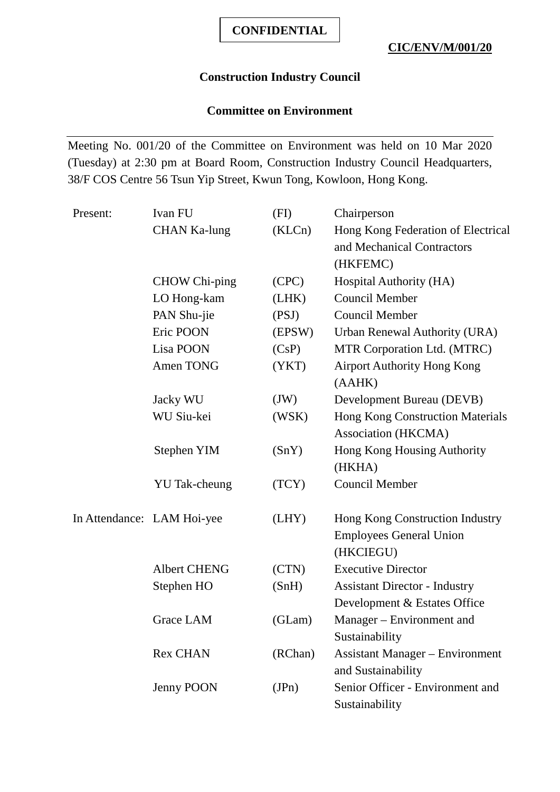## **Construction Industry Council**

## **Committee on Environment**

Meeting No. 001/20 of the Committee on Environment was held on 10 Mar 2020 (Tuesday) at 2:30 pm at Board Room, Construction Industry Council Headquarters, 38/F COS Centre 56 Tsun Yip Street, Kwun Tong, Kowloon, Hong Kong.

| Present:                   | Ivan FU              | (FI)    | Chairperson                             |
|----------------------------|----------------------|---------|-----------------------------------------|
|                            | <b>CHAN Ka-lung</b>  | (KLCn)  | Hong Kong Federation of Electrical      |
|                            |                      |         | and Mechanical Contractors              |
|                            |                      |         | (HKFEMC)                                |
|                            | <b>CHOW Chi-ping</b> | (CPC)   | Hospital Authority (HA)                 |
|                            | LO Hong-kam          | (LHK)   | <b>Council Member</b>                   |
|                            | PAN Shu-jie          | (PSJ)   | <b>Council Member</b>                   |
|                            | Eric POON            | (EPSW)  | Urban Renewal Authority (URA)           |
|                            | Lisa POON            | (CsP)   | MTR Corporation Ltd. (MTRC)             |
|                            | Amen TONG            | (YKT)   | <b>Airport Authority Hong Kong</b>      |
|                            |                      |         | (AAHK)                                  |
|                            | Jacky WU             | (JW)    | Development Bureau (DEVB)               |
|                            | WU Siu-kei           | (WSK)   | <b>Hong Kong Construction Materials</b> |
|                            |                      |         | Association (HKCMA)                     |
|                            | Stephen YIM          | (SnY)   | Hong Kong Housing Authority             |
|                            |                      |         | (HKHA)                                  |
|                            | <b>YU</b> Tak-cheung | (TCY)   | <b>Council Member</b>                   |
| In Attendance: LAM Hoi-yee |                      | (LHY)   | Hong Kong Construction Industry         |
|                            |                      |         | <b>Employees General Union</b>          |
|                            |                      |         | (HKCIEGU)                               |
|                            | <b>Albert CHENG</b>  | (CTN)   | <b>Executive Director</b>               |
|                            | Stephen HO           | (SnH)   | <b>Assistant Director - Industry</b>    |
|                            |                      |         | Development & Estates Office            |
|                            | <b>Grace LAM</b>     | (GLam)  | Manager – Environment and               |
|                            |                      |         | Sustainability                          |
|                            | <b>Rex CHAN</b>      | (RChan) | <b>Assistant Manager – Environment</b>  |
|                            |                      |         | and Sustainability                      |
|                            | Jenny POON           | (JPn)   | Senior Officer - Environment and        |
|                            |                      |         | Sustainability                          |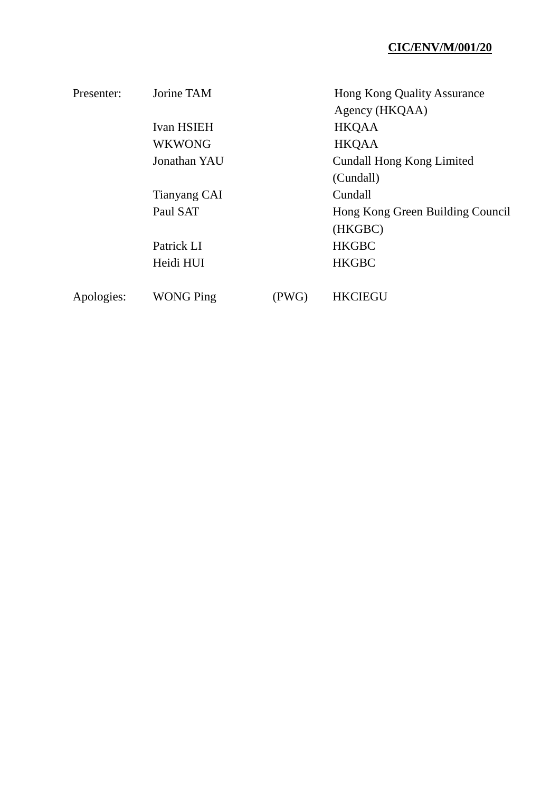| Presenter: | Jorine TAM        |       | Hong Kong Quality Assurance      |
|------------|-------------------|-------|----------------------------------|
|            |                   |       | Agency (HKQAA)                   |
|            | <b>Ivan HSIEH</b> |       | <b>HKQAA</b>                     |
|            | <b>WKWONG</b>     |       | <b>HKQAA</b>                     |
|            | Jonathan YAU      |       | <b>Cundall Hong Kong Limited</b> |
|            |                   |       | (Cundall)                        |
|            | Tianyang CAI      |       | Cundall                          |
|            | Paul SAT          |       | Hong Kong Green Building Council |
|            |                   |       | (HKGBC)                          |
|            | Patrick LI        |       | <b>HKGBC</b>                     |
|            | Heidi HUI         |       | <b>HKGBC</b>                     |
|            |                   |       |                                  |
| Apologies: | <b>WONG Ping</b>  | (PWG) | <b>HKCIEGU</b>                   |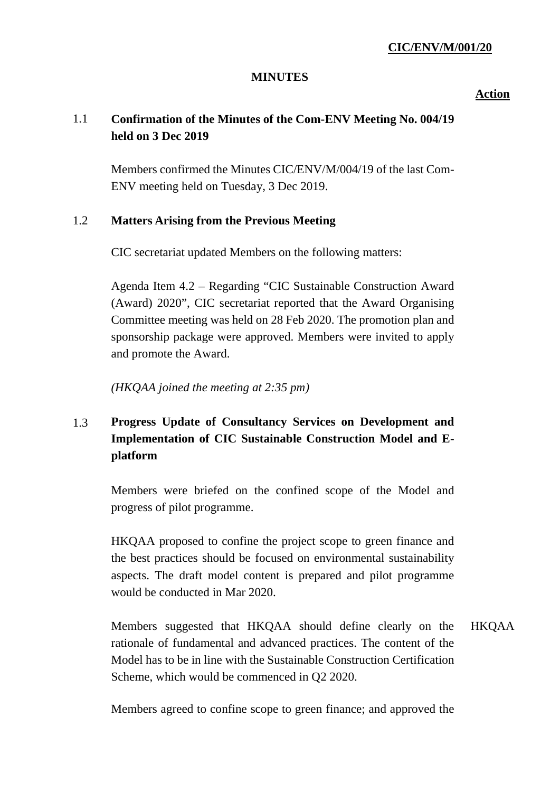#### **MINUTES**

**Action**

# 1.1 **Confirmation of the Minutes of the Com-ENV Meeting No. 004/19 held on 3 Dec 2019**

Members confirmed the Minutes CIC/ENV/M/004/19 of the last Com-ENV meeting held on Tuesday, 3 Dec 2019.

## 1.2 **Matters Arising from the Previous Meeting**

CIC secretariat updated Members on the following matters:

Agenda Item 4.2 – Regarding "CIC Sustainable Construction Award (Award) 2020", CIC secretariat reported that the Award Organising Committee meeting was held on 28 Feb 2020. The promotion plan and sponsorship package were approved. Members were invited to apply and promote the Award.

*(HKQAA joined the meeting at 2:35 pm)*

# 1.3 **Progress Update of Consultancy Services on Development and Implementation of CIC Sustainable Construction Model and Eplatform**

Members were briefed on the confined scope of the Model and progress of pilot programme.

HKQAA proposed to confine the project scope to green finance and the best practices should be focused on environmental sustainability aspects. The draft model content is prepared and pilot programme would be conducted in Mar 2020.

Members suggested that HKQAA should define clearly on the rationale of fundamental and advanced practices. The content of the Model has to be in line with the Sustainable Construction Certification Scheme, which would be commenced in Q2 2020. HKQAA

Members agreed to confine scope to green finance; and approved the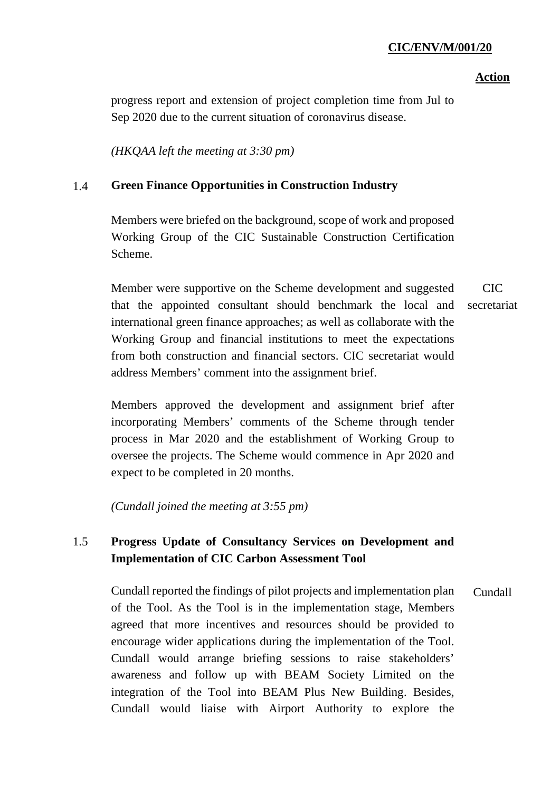#### **Action**

progress report and extension of project completion time from Jul to Sep 2020 due to the current situation of coronavirus disease.

*(HKQAA left the meeting at 3:30 pm)*

### 1.4 **Green Finance Opportunities in Construction Industry**

Members were briefed on the background, scope of work and proposed Working Group of the CIC Sustainable Construction Certification Scheme.

Member were supportive on the Scheme development and suggested that the appointed consultant should benchmark the local and international green finance approaches; as well as collaborate with the Working Group and financial institutions to meet the expectations from both construction and financial sectors. CIC secretariat would address Members' comment into the assignment brief. CIC secretariat

Members approved the development and assignment brief after incorporating Members' comments of the Scheme through tender process in Mar 2020 and the establishment of Working Group to oversee the projects. The Scheme would commence in Apr 2020 and expect to be completed in 20 months.

*(Cundall joined the meeting at 3:55 pm)*

## 1.5 **Progress Update of Consultancy Services on Development and Implementation of CIC Carbon Assessment Tool**

Cundall reported the findings of pilot projects and implementation plan of the Tool. As the Tool is in the implementation stage, Members agreed that more incentives and resources should be provided to encourage wider applications during the implementation of the Tool. Cundall would arrange briefing sessions to raise stakeholders' awareness and follow up with BEAM Society Limited on the integration of the Tool into BEAM Plus New Building. Besides, Cundall would liaise with Airport Authority to explore the Cundall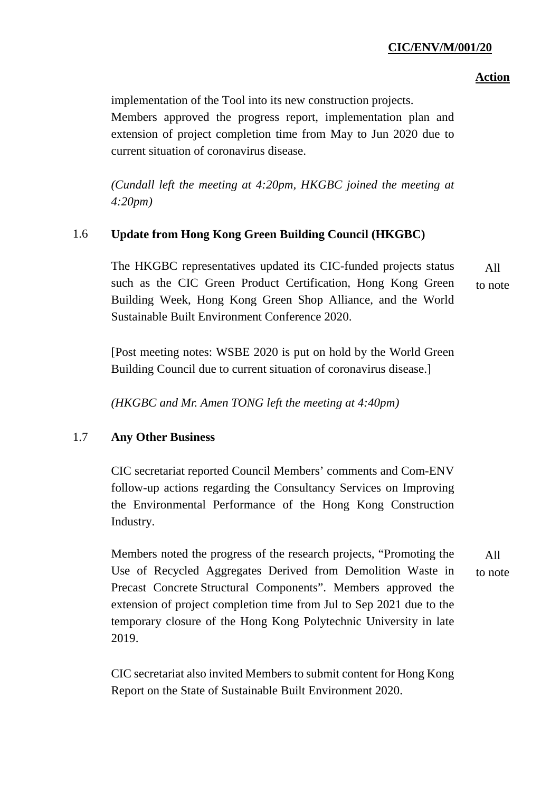## **Action**

implementation of the Tool into its new construction projects. Members approved the progress report, implementation plan and extension of project completion time from May to Jun 2020 due to current situation of coronavirus disease.

*(Cundall left the meeting at 4:20pm, HKGBC joined the meeting at 4:20pm)*

## 1.6 **Update from Hong Kong Green Building Council (HKGBC)**

The HKGBC representatives updated its CIC-funded projects status such as the CIC Green Product Certification, Hong Kong Green Building Week, Hong Kong Green Shop Alliance, and the World Sustainable Built Environment Conference 2020. All to note

[Post meeting notes: WSBE 2020 is put on hold by the World Green Building Council due to current situation of coronavirus disease.]

*(HKGBC and Mr. Amen TONG left the meeting at 4:40pm)*

## 1.7 **Any Other Business**

CIC secretariat reported Council Members' comments and Com-ENV follow-up actions regarding the Consultancy Services on Improving the Environmental Performance of the Hong Kong Construction Industry.

Members noted the progress of the research projects, "Promoting the Use of Recycled Aggregates Derived from Demolition Waste in Precast Concrete Structural Components". Members approved the extension of project completion time from Jul to Sep 2021 due to the temporary closure of the Hong Kong Polytechnic University in late 2019. All

CIC secretariat also invited Members to submit content for Hong Kong Report on the State of Sustainable Built Environment 2020.

to note